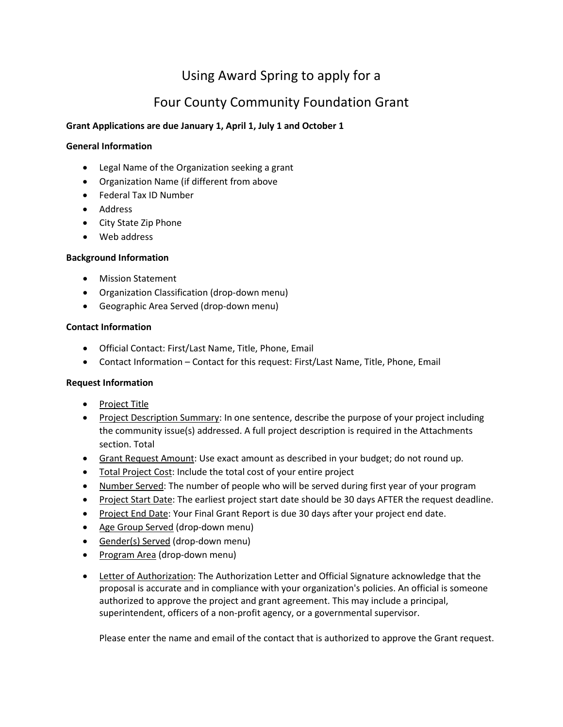# Using Award Spring to apply for a

## Four County Community Foundation Grant

## **Grant Applications are due January 1, April 1, July 1 and October 1**

#### **General Information**

- Legal Name of the Organization seeking a grant
- Organization Name (if different from above
- Federal Tax ID Number
- Address
- City State Zip Phone
- Web address

#### **Background Information**

- Mission Statement
- Organization Classification (drop-down menu)
- Geographic Area Served (drop-down menu)

#### **Contact Information**

- Official Contact: First/Last Name, Title, Phone, Email
- Contact Information Contact for this request: First/Last Name, Title, Phone, Email

## **Request Information**

- Project Title
- Project Description Summary: In one sentence, describe the purpose of your project including the community issue(s) addressed. A full project description is required in the Attachments section. Total
- Grant Request Amount: Use exact amount as described in your budget; do not round up.
- Total Project Cost: Include the total cost of your entire project
- Number Served: The number of people who will be served during first year of your program
- Project Start Date: The earliest project start date should be 30 days AFTER the request deadline.
- Project End Date: Your Final Grant Report is due 30 days after your project end date.
- Age Group Served (drop-down menu)
- Gender(s) Served (drop-down menu)
- Program Area (drop-down menu)
- Letter of Authorization: The Authorization Letter and Official Signature acknowledge that the proposal is accurate and in compliance with your organization's policies. An official is someone authorized to approve the project and grant agreement. This may include a principal, superintendent, officers of a non-profit agency, or a governmental supervisor.

Please enter the name and email of the contact that is authorized to approve the Grant request.